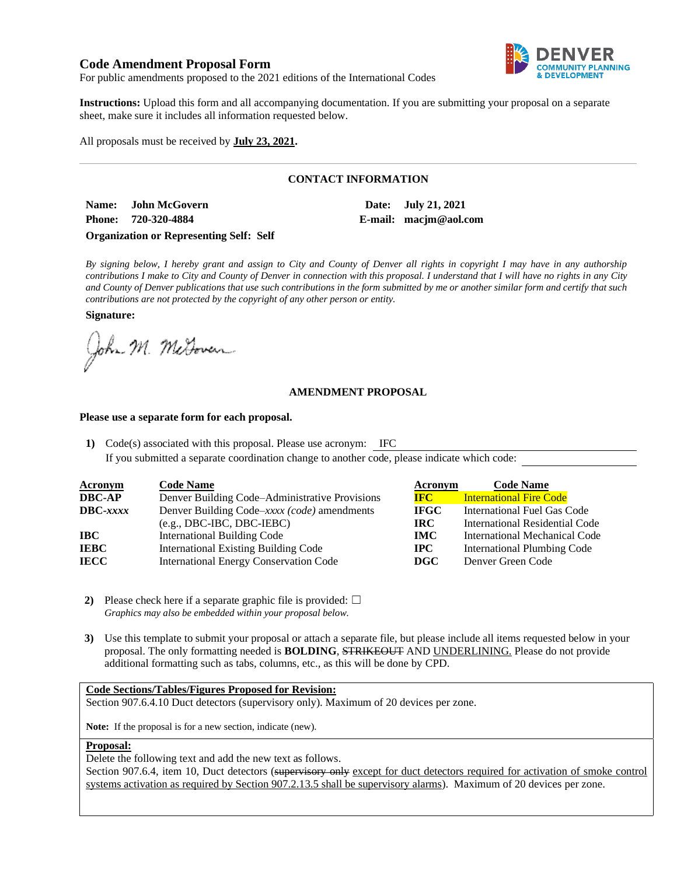# **Code Amendment Proposal Form**



For public amendments proposed to the 2021 editions of the International Codes

**Instructions:** Upload this form and all accompanying documentation. If you are submitting your proposal on a separate sheet, make sure it includes all information requested below.

All proposals must be received by **July 23, 2021.**

## **CONTACT INFORMATION**

**Name: John McGovern Date: July 21, 2021 Phone: 720-320-4884 E-mail: macjm@aol.com**

### **Organization or Representing Self: Self**

*By signing below, I hereby grant and assign to City and County of Denver all rights in copyright I may have in any authorship contributions I make to City and County of Denver in connection with this proposal. I understand that I will have no rights in any City and County of Denver publications that use such contributions in the form submitted by me or another similar form and certify that such contributions are not protected by the copyright of any other person or entity.* 

**Signature:**

John M. MeGovern

### **AMENDMENT PROPOSAL**

#### **Please use a separate form for each proposal.**

**1)** Code(s) associated with this proposal. Please use acronym: IFC

If you submitted a separate coordination change to another code, please indicate which code:

| <b>Acronym</b>    | <b>Code Name</b>                               | Acronym      | <b>Code Name</b>                   |
|-------------------|------------------------------------------------|--------------|------------------------------------|
| <b>DBC-AP</b>     | Denver Building Code–Administrative Provisions | <b>IFC</b>   | <b>International Fire Code</b>     |
| $\text{DBC-}xxxx$ | Denver Building Code–xxxx (code) amendments    | <b>IFGC</b>  | International Fuel Gas Code        |
|                   | $(e.g., DBC-IBC, DBC-IEBC)$                    | IRC.         | International Residential Code     |
| IBC-              | <b>International Building Code</b>             | <b>IMC</b>   | International Mechanical Code      |
| IEBC              | <b>International Existing Building Code</b>    | $_{\rm IPC}$ | <b>International Plumbing Code</b> |
| IECC              | <b>International Energy Conservation Code</b>  | DGC          | Denver Green Code                  |

- **2)** Please check here if a separate graphic file is provided:  $\Box$ *Graphics may also be embedded within your proposal below.*
- **3)** Use this template to submit your proposal or attach a separate file, but please include all items requested below in your proposal. The only formatting needed is **BOLDING**, STRIKEOUT AND UNDERLINING. Please do not provide additional formatting such as tabs, columns, etc., as this will be done by CPD.

### **Code Sections/Tables/Figures Proposed for Revision:**

Section 907.6.4.10 Duct detectors (supervisory only). Maximum of 20 devices per zone.

**Note:** If the proposal is for a new section, indicate (new).

#### **Proposal:**

Delete the following text and add the new text as follows.

Section 907.6.4, item 10, Duct detectors (supervisory only except for duct detectors required for activation of smoke control systems activation as required by Section 907.2.13.5 shall be supervisory alarms). Maximum of 20 devices per zone.